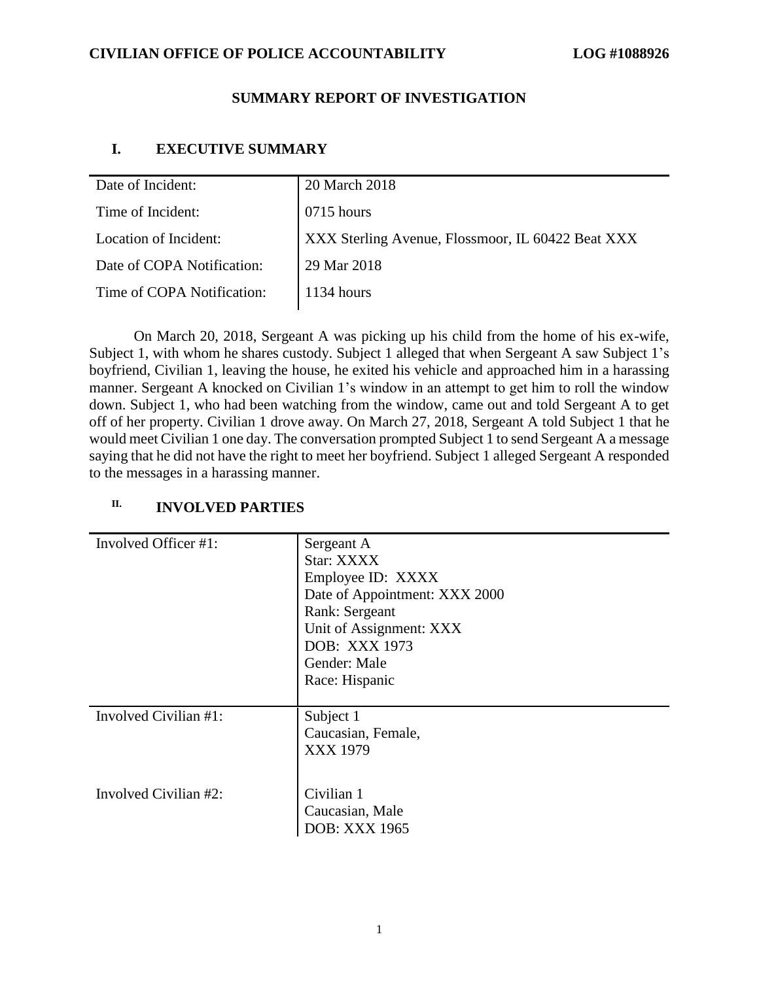## **SUMMARY REPORT OF INVESTIGATION**

# **I. EXECUTIVE SUMMARY**

| Date of Incident:          | 20 March 2018                                     |
|----------------------------|---------------------------------------------------|
| Time of Incident:          | 0715 hours                                        |
| Location of Incident:      | XXX Sterling Avenue, Flossmoor, IL 60422 Beat XXX |
| Date of COPA Notification: | 29 Mar 2018                                       |
| Time of COPA Notification: | $1134$ hours                                      |

On March 20, 2018, Sergeant A was picking up his child from the home of his ex-wife, Subject 1, with whom he shares custody. Subject 1 alleged that when Sergeant A saw Subject 1's boyfriend, Civilian 1, leaving the house, he exited his vehicle and approached him in a harassing manner. Sergeant A knocked on Civilian 1's window in an attempt to get him to roll the window down. Subject 1, who had been watching from the window, came out and told Sergeant A to get off of her property. Civilian 1 drove away. On March 27, 2018, Sergeant A told Subject 1 that he would meet Civilian 1 one day. The conversation prompted Subject 1 to send Sergeant A a message saying that he did not have the right to meet her boyfriend. Subject 1 alleged Sergeant A responded to the messages in a harassing manner.

| Involved Officer #1:  | Sergeant A<br>Star: XXXX<br>Employee ID: XXXX<br>Date of Appointment: XXX 2000<br>Rank: Sergeant<br>Unit of Assignment: XXX<br>DOB: XXX 1973<br>Gender: Male<br>Race: Hispanic |
|-----------------------|--------------------------------------------------------------------------------------------------------------------------------------------------------------------------------|
| Involved Civilian #1: | Subject 1<br>Caucasian, Female,<br>XXX 1979                                                                                                                                    |
| Involved Civilian #2: | Civilian 1<br>Caucasian, Male<br><b>DOB: XXX 1965</b>                                                                                                                          |

# **II. INVOLVED PARTIES**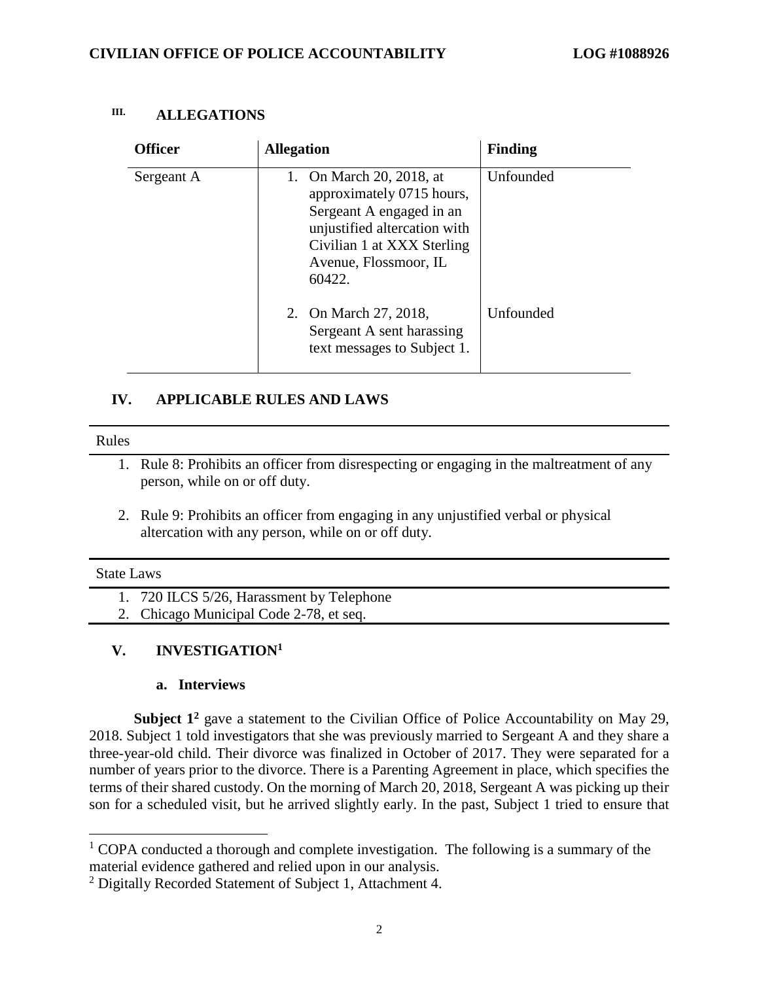| III. | <b>ALLEGATIONS</b> |  |
|------|--------------------|--|
|------|--------------------|--|

| <b>Officer</b> | <b>Allegation</b>                                                                                                                                                                     | <b>Finding</b> |
|----------------|---------------------------------------------------------------------------------------------------------------------------------------------------------------------------------------|----------------|
| Sergeant A     | On March 20, 2018, at<br>1.<br>approximately 0715 hours,<br>Sergeant A engaged in an<br>unjustified altercation with<br>Civilian 1 at XXX Sterling<br>Avenue, Flossmoor, IL<br>60422. | Unfounded      |
|                | 2. On March 27, 2018,<br>Sergeant A sent harassing<br>text messages to Subject 1.                                                                                                     | Unfounded      |

# **IV. APPLICABLE RULES AND LAWS**

#### Rules

- 1. Rule 8: Prohibits an officer from disrespecting or engaging in the maltreatment of any person, while on or off duty.
- 2. Rule 9: Prohibits an officer from engaging in any unjustified verbal or physical altercation with any person, while on or off duty.

#### State Laws

 $\overline{a}$ 

1. 720 ILCS 5/26, Harassment by Telephone

2. Chicago Municipal Code 2-78, et seq.

# **V. INVESTIGATION<sup>1</sup>**

## **a. Interviews**

**Subject 1<sup>2</sup>** gave a statement to the Civilian Office of Police Accountability on May 29, 2018. Subject 1 told investigators that she was previously married to Sergeant A and they share a three-year-old child. Their divorce was finalized in October of 2017. They were separated for a number of years prior to the divorce. There is a Parenting Agreement in place, which specifies the terms of their shared custody. On the morning of March 20, 2018, Sergeant A was picking up their son for a scheduled visit, but he arrived slightly early. In the past, Subject 1 tried to ensure that

 $1$  COPA conducted a thorough and complete investigation. The following is a summary of the material evidence gathered and relied upon in our analysis.

<sup>2</sup> Digitally Recorded Statement of Subject 1, Attachment 4.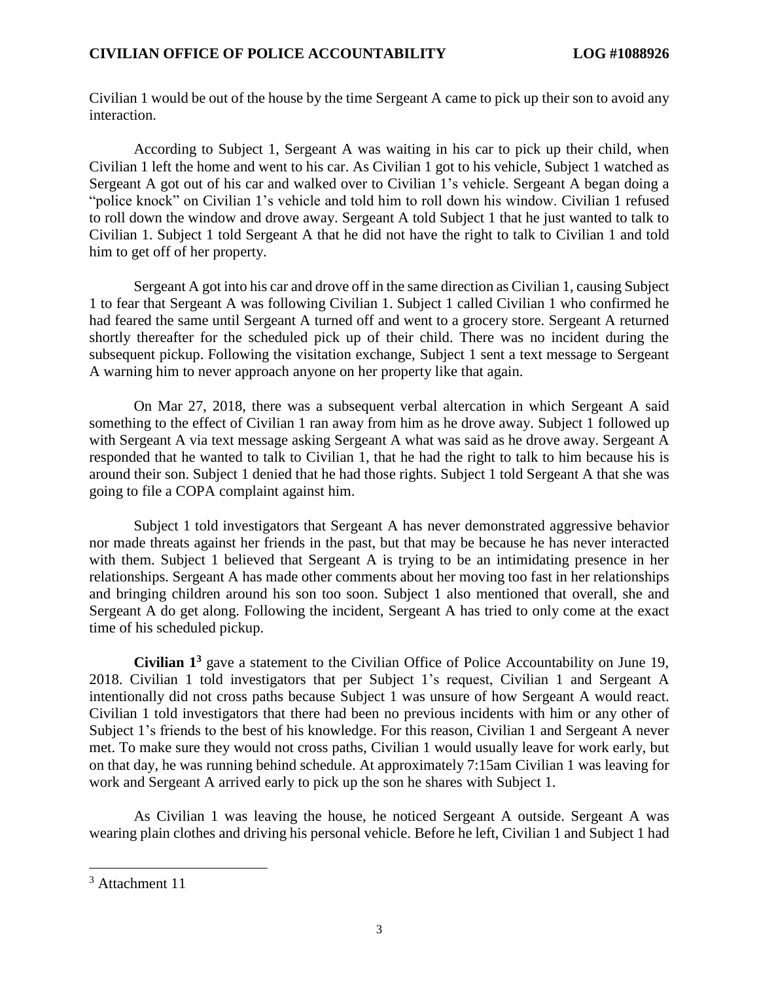Civilian 1 would be out of the house by the time Sergeant A came to pick up their son to avoid any interaction.

According to Subject 1, Sergeant A was waiting in his car to pick up their child, when Civilian 1 left the home and went to his car. As Civilian 1 got to his vehicle, Subject 1 watched as Sergeant A got out of his car and walked over to Civilian 1's vehicle. Sergeant A began doing a "police knock" on Civilian 1's vehicle and told him to roll down his window. Civilian 1 refused to roll down the window and drove away. Sergeant A told Subject 1 that he just wanted to talk to Civilian 1. Subject 1 told Sergeant A that he did not have the right to talk to Civilian 1 and told him to get off of her property.

Sergeant A got into his car and drove off in the same direction as Civilian 1, causing Subject 1 to fear that Sergeant A was following Civilian 1. Subject 1 called Civilian 1 who confirmed he had feared the same until Sergeant A turned off and went to a grocery store. Sergeant A returned shortly thereafter for the scheduled pick up of their child. There was no incident during the subsequent pickup. Following the visitation exchange, Subject 1 sent a text message to Sergeant A warning him to never approach anyone on her property like that again.

On Mar 27, 2018, there was a subsequent verbal altercation in which Sergeant A said something to the effect of Civilian 1 ran away from him as he drove away. Subject 1 followed up with Sergeant A via text message asking Sergeant A what was said as he drove away. Sergeant A responded that he wanted to talk to Civilian 1, that he had the right to talk to him because his is around their son. Subject 1 denied that he had those rights. Subject 1 told Sergeant A that she was going to file a COPA complaint against him.

Subject 1 told investigators that Sergeant A has never demonstrated aggressive behavior nor made threats against her friends in the past, but that may be because he has never interacted with them. Subject 1 believed that Sergeant A is trying to be an intimidating presence in her relationships. Sergeant A has made other comments about her moving too fast in her relationships and bringing children around his son too soon. Subject 1 also mentioned that overall, she and Sergeant A do get along. Following the incident, Sergeant A has tried to only come at the exact time of his scheduled pickup.

**Civilian 1<sup>3</sup>** gave a statement to the Civilian Office of Police Accountability on June 19, 2018. Civilian 1 told investigators that per Subject 1's request, Civilian 1 and Sergeant A intentionally did not cross paths because Subject 1 was unsure of how Sergeant A would react. Civilian 1 told investigators that there had been no previous incidents with him or any other of Subject 1's friends to the best of his knowledge. For this reason, Civilian 1 and Sergeant A never met. To make sure they would not cross paths, Civilian 1 would usually leave for work early, but on that day, he was running behind schedule. At approximately 7:15am Civilian 1 was leaving for work and Sergeant A arrived early to pick up the son he shares with Subject 1.

As Civilian 1 was leaving the house, he noticed Sergeant A outside. Sergeant A was wearing plain clothes and driving his personal vehicle. Before he left, Civilian 1 and Subject 1 had

 $\overline{\phantom{a}}$ 

<sup>3</sup> Attachment 11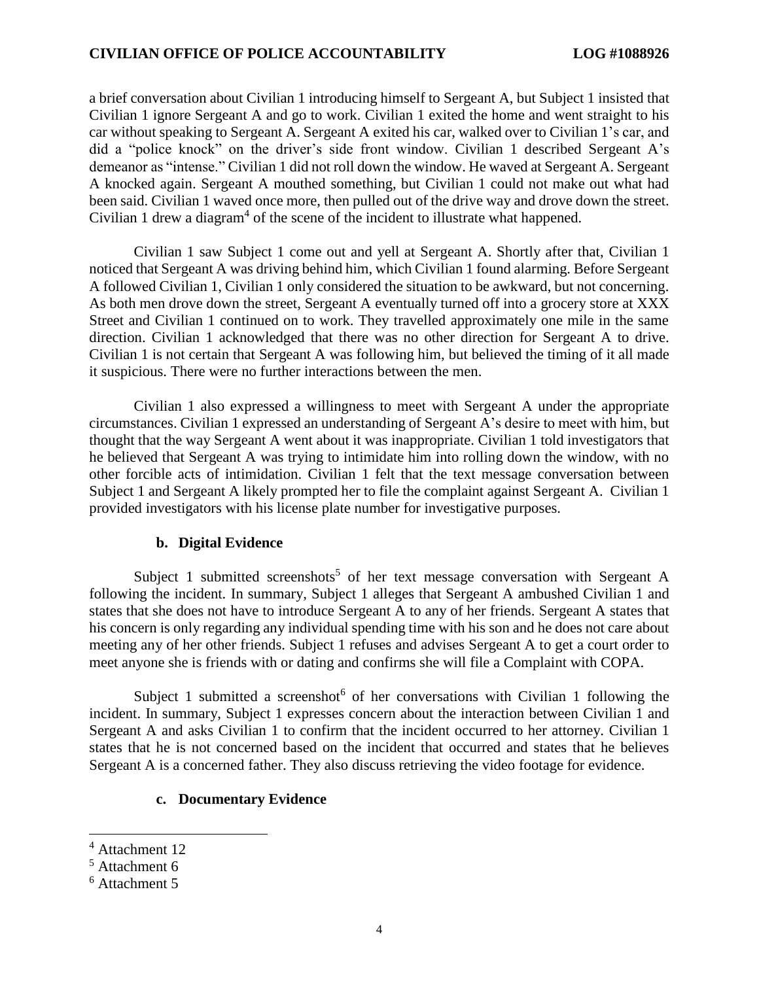a brief conversation about Civilian 1 introducing himself to Sergeant A, but Subject 1 insisted that Civilian 1 ignore Sergeant A and go to work. Civilian 1 exited the home and went straight to his car without speaking to Sergeant A. Sergeant A exited his car, walked over to Civilian 1's car, and did a "police knock" on the driver's side front window. Civilian 1 described Sergeant A's demeanor as "intense." Civilian 1 did not roll down the window. He waved at Sergeant A. Sergeant A knocked again. Sergeant A mouthed something, but Civilian 1 could not make out what had been said. Civilian 1 waved once more, then pulled out of the drive way and drove down the street. Civilian 1 drew a diagram<sup>4</sup> of the scene of the incident to illustrate what happened.

Civilian 1 saw Subject 1 come out and yell at Sergeant A. Shortly after that, Civilian 1 noticed that Sergeant A was driving behind him, which Civilian 1 found alarming. Before Sergeant A followed Civilian 1, Civilian 1 only considered the situation to be awkward, but not concerning. As both men drove down the street, Sergeant A eventually turned off into a grocery store at XXX Street and Civilian 1 continued on to work. They travelled approximately one mile in the same direction. Civilian 1 acknowledged that there was no other direction for Sergeant A to drive. Civilian 1 is not certain that Sergeant A was following him, but believed the timing of it all made it suspicious. There were no further interactions between the men.

Civilian 1 also expressed a willingness to meet with Sergeant A under the appropriate circumstances. Civilian 1 expressed an understanding of Sergeant A's desire to meet with him, but thought that the way Sergeant A went about it was inappropriate. Civilian 1 told investigators that he believed that Sergeant A was trying to intimidate him into rolling down the window, with no other forcible acts of intimidation. Civilian 1 felt that the text message conversation between Subject 1 and Sergeant A likely prompted her to file the complaint against Sergeant A. Civilian 1 provided investigators with his license plate number for investigative purposes.

#### **b. Digital Evidence**

Subject 1 submitted screenshots<sup>5</sup> of her text message conversation with Sergeant A following the incident. In summary, Subject 1 alleges that Sergeant A ambushed Civilian 1 and states that she does not have to introduce Sergeant A to any of her friends. Sergeant A states that his concern is only regarding any individual spending time with his son and he does not care about meeting any of her other friends. Subject 1 refuses and advises Sergeant A to get a court order to meet anyone she is friends with or dating and confirms she will file a Complaint with COPA.

Subject 1 submitted a screenshot<sup>6</sup> of her conversations with Civilian 1 following the incident. In summary, Subject 1 expresses concern about the interaction between Civilian 1 and Sergeant A and asks Civilian 1 to confirm that the incident occurred to her attorney. Civilian 1 states that he is not concerned based on the incident that occurred and states that he believes Sergeant A is a concerned father. They also discuss retrieving the video footage for evidence.

## **c. Documentary Evidence**

 $\overline{a}$ 

<sup>&</sup>lt;sup>4</sup> Attachment 12

<sup>5</sup> Attachment 6

<sup>6</sup> Attachment 5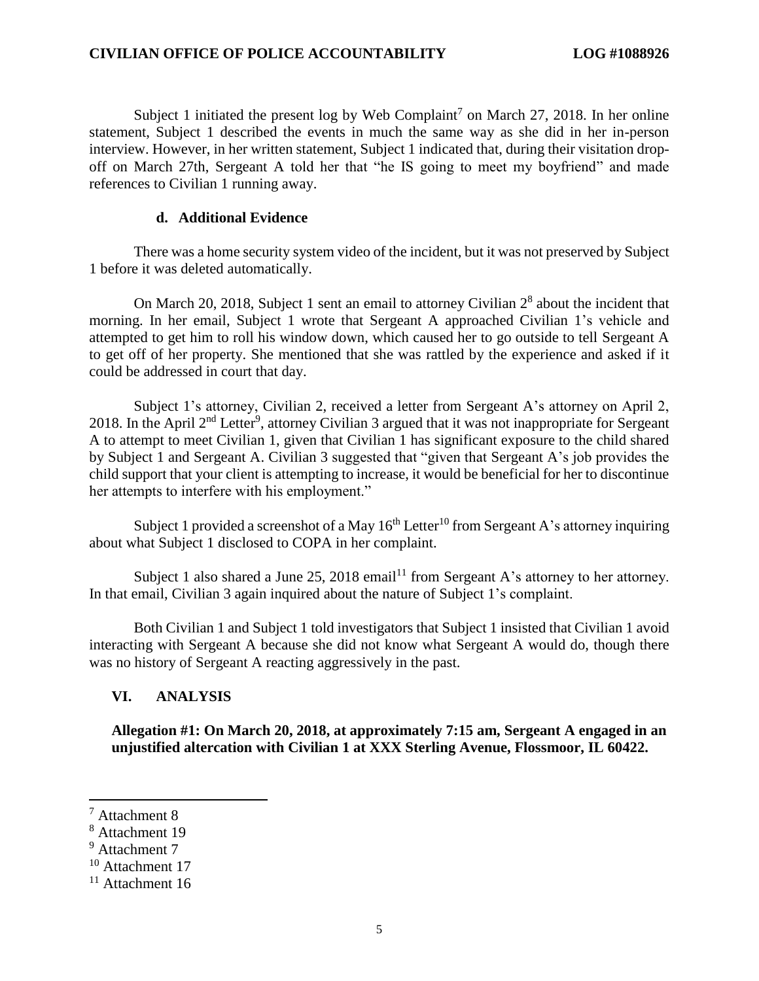Subject 1 initiated the present log by Web Complaint<sup>7</sup> on March 27, 2018. In her online statement, Subject 1 described the events in much the same way as she did in her in-person interview. However, in her written statement, Subject 1 indicated that, during their visitation dropoff on March 27th, Sergeant A told her that "he IS going to meet my boyfriend" and made references to Civilian 1 running away.

## **d. Additional Evidence**

There was a home security system video of the incident, but it was not preserved by Subject 1 before it was deleted automatically.

On March 20, 2018, Subject 1 sent an email to attorney Civilian  $2<sup>8</sup>$  about the incident that morning. In her email, Subject 1 wrote that Sergeant A approached Civilian 1's vehicle and attempted to get him to roll his window down, which caused her to go outside to tell Sergeant A to get off of her property. She mentioned that she was rattled by the experience and asked if it could be addressed in court that day.

Subject 1's attorney, Civilian 2, received a letter from Sergeant A's attorney on April 2, 2018. In the April 2<sup>nd</sup> Letter<sup>9</sup>, attorney Civilian 3 argued that it was not inappropriate for Sergeant A to attempt to meet Civilian 1, given that Civilian 1 has significant exposure to the child shared by Subject 1 and Sergeant A. Civilian 3 suggested that "given that Sergeant A's job provides the child support that your client is attempting to increase, it would be beneficial for her to discontinue her attempts to interfere with his employment."

Subject 1 provided a screenshot of a May  $16<sup>th</sup>$  Letter<sup>10</sup> from Sergeant A's attorney inquiring about what Subject 1 disclosed to COPA in her complaint.

Subject 1 also shared a June 25, 2018 email<sup>11</sup> from Sergeant A's attorney to her attorney. In that email, Civilian 3 again inquired about the nature of Subject 1's complaint.

Both Civilian 1 and Subject 1 told investigators that Subject 1 insisted that Civilian 1 avoid interacting with Sergeant A because she did not know what Sergeant A would do, though there was no history of Sergeant A reacting aggressively in the past.

## **VI. ANALYSIS**

**Allegation #1: On March 20, 2018, at approximately 7:15 am, Sergeant A engaged in an unjustified altercation with Civilian 1 at XXX Sterling Avenue, Flossmoor, IL 60422.**

 $\overline{\phantom{a}}$ 

<sup>7</sup> Attachment 8

<sup>8</sup> Attachment 19

<sup>&</sup>lt;sup>9</sup> Attachment 7

<sup>&</sup>lt;sup>10</sup> Attachment 17

 $11$  Attachment 16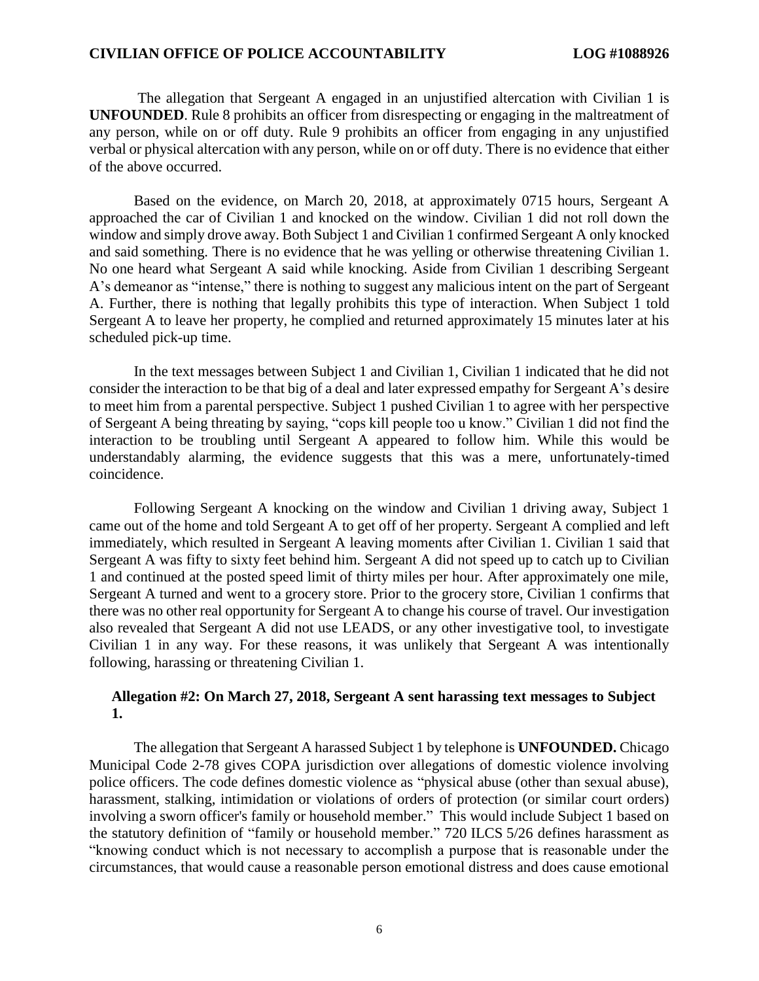The allegation that Sergeant A engaged in an unjustified altercation with Civilian 1 is **UNFOUNDED**. Rule 8 prohibits an officer from disrespecting or engaging in the maltreatment of any person, while on or off duty. Rule 9 prohibits an officer from engaging in any unjustified verbal or physical altercation with any person, while on or off duty. There is no evidence that either of the above occurred.

Based on the evidence, on March 20, 2018, at approximately 0715 hours, Sergeant A approached the car of Civilian 1 and knocked on the window. Civilian 1 did not roll down the window and simply drove away. Both Subject 1 and Civilian 1 confirmed Sergeant A only knocked and said something. There is no evidence that he was yelling or otherwise threatening Civilian 1. No one heard what Sergeant A said while knocking. Aside from Civilian 1 describing Sergeant A's demeanor as "intense," there is nothing to suggest any malicious intent on the part of Sergeant A. Further, there is nothing that legally prohibits this type of interaction. When Subject 1 told Sergeant A to leave her property, he complied and returned approximately 15 minutes later at his scheduled pick-up time.

In the text messages between Subject 1 and Civilian 1, Civilian 1 indicated that he did not consider the interaction to be that big of a deal and later expressed empathy for Sergeant A's desire to meet him from a parental perspective. Subject 1 pushed Civilian 1 to agree with her perspective of Sergeant A being threating by saying, "cops kill people too u know." Civilian 1 did not find the interaction to be troubling until Sergeant A appeared to follow him. While this would be understandably alarming, the evidence suggests that this was a mere, unfortunately-timed coincidence.

Following Sergeant A knocking on the window and Civilian 1 driving away, Subject 1 came out of the home and told Sergeant A to get off of her property. Sergeant A complied and left immediately, which resulted in Sergeant A leaving moments after Civilian 1. Civilian 1 said that Sergeant A was fifty to sixty feet behind him. Sergeant A did not speed up to catch up to Civilian 1 and continued at the posted speed limit of thirty miles per hour. After approximately one mile, Sergeant A turned and went to a grocery store. Prior to the grocery store, Civilian 1 confirms that there was no other real opportunity for Sergeant A to change his course of travel. Our investigation also revealed that Sergeant A did not use LEADS, or any other investigative tool, to investigate Civilian 1 in any way. For these reasons, it was unlikely that Sergeant A was intentionally following, harassing or threatening Civilian 1.

## **Allegation #2: On March 27, 2018, Sergeant A sent harassing text messages to Subject 1.**

The allegation that Sergeant A harassed Subject 1 by telephone is **UNFOUNDED.** Chicago Municipal Code 2-78 gives COPA jurisdiction over allegations of domestic violence involving police officers. The code defines domestic violence as "physical abuse (other than sexual abuse), harassment, stalking, intimidation or violations of orders of protection (or similar court orders) involving a sworn officer's family or household member." This would include Subject 1 based on the statutory definition of "family or household member." 720 ILCS 5/26 defines harassment as "knowing conduct which is not necessary to accomplish a purpose that is reasonable under the circumstances, that would cause a reasonable person emotional distress and does cause emotional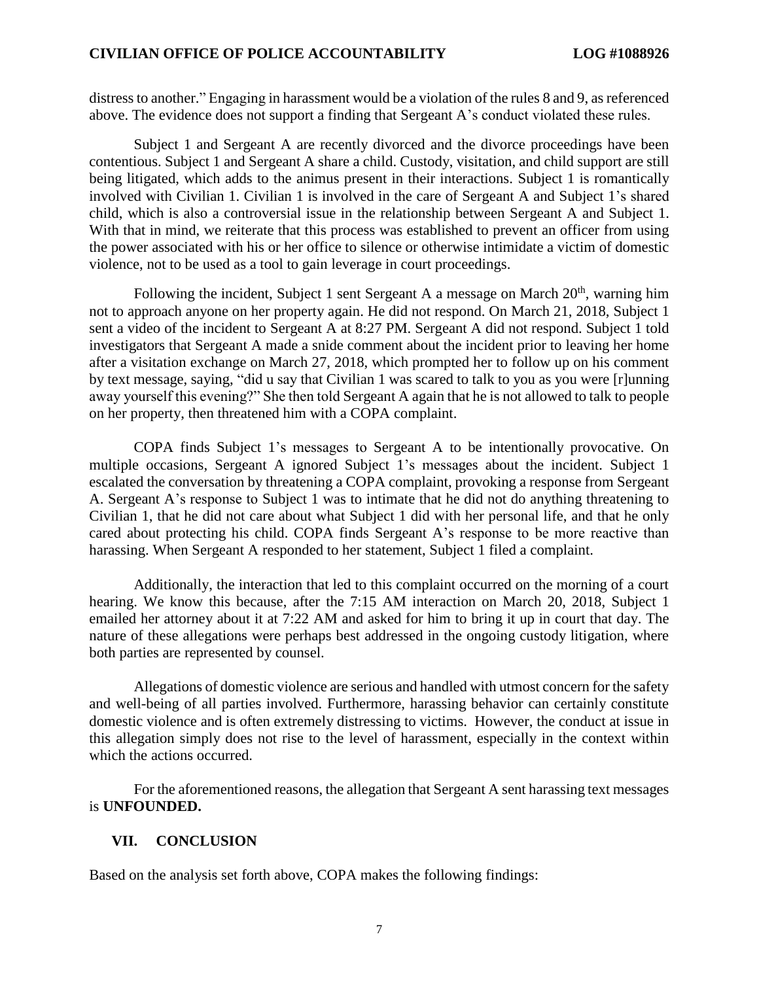distress to another." Engaging in harassment would be a violation of the rules 8 and 9, as referenced above. The evidence does not support a finding that Sergeant A's conduct violated these rules.

Subject 1 and Sergeant A are recently divorced and the divorce proceedings have been contentious. Subject 1 and Sergeant A share a child. Custody, visitation, and child support are still being litigated, which adds to the animus present in their interactions. Subject 1 is romantically involved with Civilian 1. Civilian 1 is involved in the care of Sergeant A and Subject 1's shared child, which is also a controversial issue in the relationship between Sergeant A and Subject 1. With that in mind, we reiterate that this process was established to prevent an officer from using the power associated with his or her office to silence or otherwise intimidate a victim of domestic violence, not to be used as a tool to gain leverage in court proceedings.

Following the incident, Subject 1 sent Sergeant A a message on March  $20<sup>th</sup>$ , warning him not to approach anyone on her property again. He did not respond. On March 21, 2018, Subject 1 sent a video of the incident to Sergeant A at 8:27 PM. Sergeant A did not respond. Subject 1 told investigators that Sergeant A made a snide comment about the incident prior to leaving her home after a visitation exchange on March 27, 2018, which prompted her to follow up on his comment by text message, saying, "did u say that Civilian 1 was scared to talk to you as you were [r]unning away yourself this evening?" She then told Sergeant A again that he is not allowed to talk to people on her property, then threatened him with a COPA complaint.

COPA finds Subject 1's messages to Sergeant A to be intentionally provocative. On multiple occasions, Sergeant A ignored Subject 1's messages about the incident. Subject 1 escalated the conversation by threatening a COPA complaint, provoking a response from Sergeant A. Sergeant A's response to Subject 1 was to intimate that he did not do anything threatening to Civilian 1, that he did not care about what Subject 1 did with her personal life, and that he only cared about protecting his child. COPA finds Sergeant A's response to be more reactive than harassing. When Sergeant A responded to her statement, Subject 1 filed a complaint.

Additionally, the interaction that led to this complaint occurred on the morning of a court hearing. We know this because, after the 7:15 AM interaction on March 20, 2018, Subject 1 emailed her attorney about it at 7:22 AM and asked for him to bring it up in court that day. The nature of these allegations were perhaps best addressed in the ongoing custody litigation, where both parties are represented by counsel.

Allegations of domestic violence are serious and handled with utmost concern for the safety and well-being of all parties involved. Furthermore, harassing behavior can certainly constitute domestic violence and is often extremely distressing to victims. However, the conduct at issue in this allegation simply does not rise to the level of harassment, especially in the context within which the actions occurred.

For the aforementioned reasons, the allegation that Sergeant A sent harassing text messages is **UNFOUNDED.**

## **VII. CONCLUSION**

Based on the analysis set forth above, COPA makes the following findings: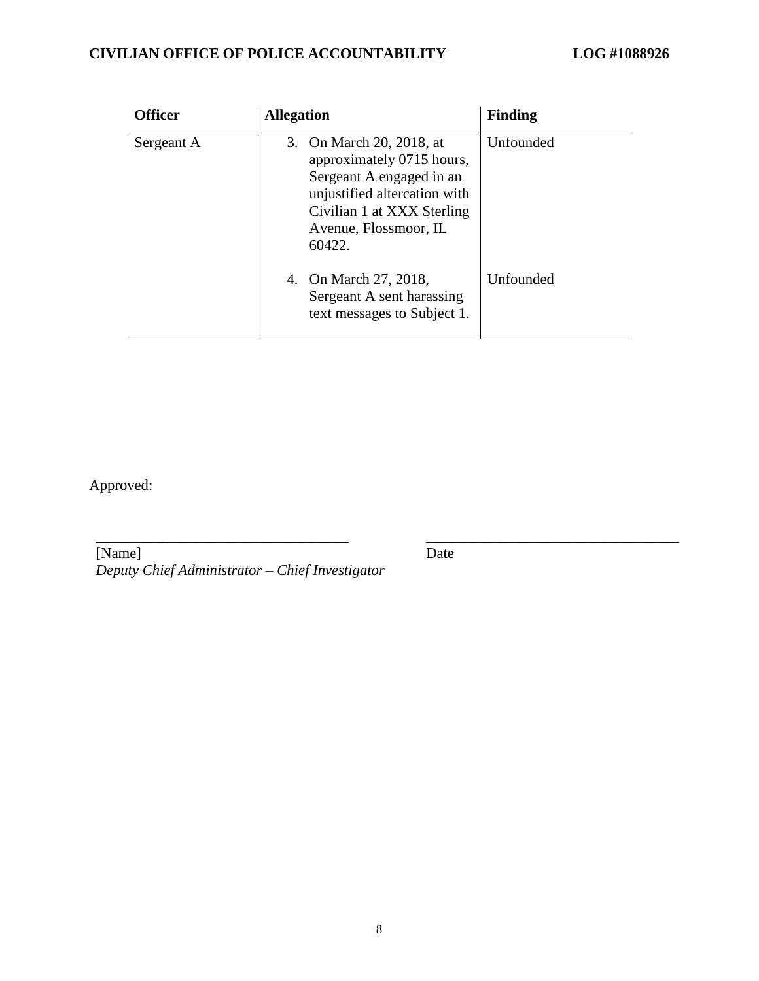| <b>Officer</b> | <b>Allegation</b>                                                                                                                                                                  | <b>Finding</b> |
|----------------|------------------------------------------------------------------------------------------------------------------------------------------------------------------------------------|----------------|
| Sergeant A     | 3. On March 20, 2018, at<br>approximately 0715 hours,<br>Sergeant A engaged in an<br>unjustified altercation with<br>Civilian 1 at XXX Sterling<br>Avenue, Flossmoor, IL<br>60422. | Unfounded      |
|                | 4. On March 27, 2018,<br>Sergeant A sent harassing<br>text messages to Subject 1.                                                                                                  | Unfounded      |

Approved:

[Name] *Deputy Chief Administrator – Chief Investigator*

\_\_\_\_\_\_\_\_\_\_\_\_\_\_\_\_\_\_\_\_\_\_\_\_\_\_\_\_\_\_\_\_\_\_ \_\_\_\_\_\_\_\_\_\_\_\_\_\_\_\_\_\_\_\_\_\_\_\_\_\_\_\_\_\_\_\_\_\_

Date